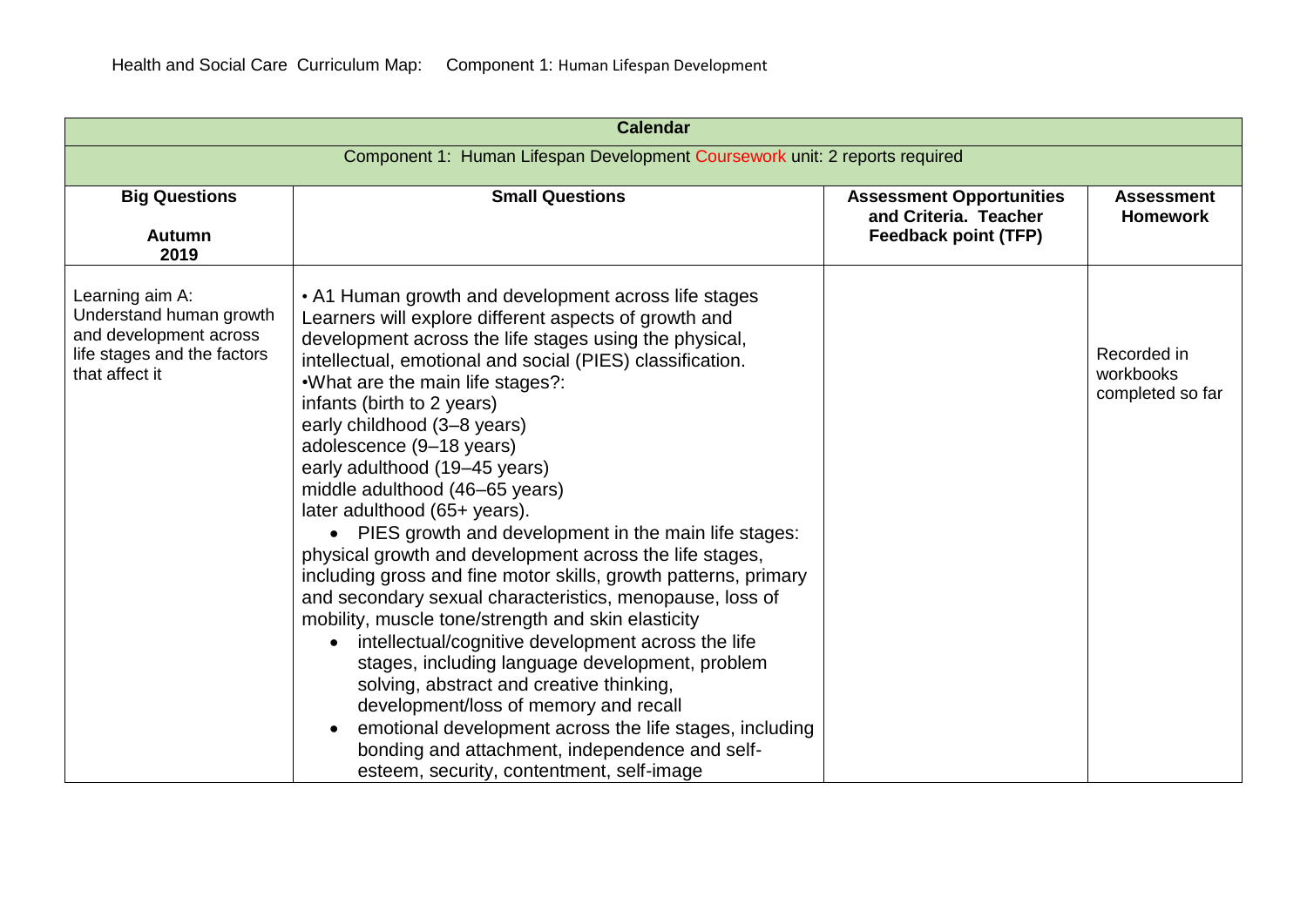| <b>Calendar</b>                                                                                                       |                                                                                                                                                                                                                                                                                                                                                                                                                                                                                                                                                                                                                                                                                                                                                                                                                                                                                                                                                                                                                                                                                                                                                                  |                                                                                         |                                              |
|-----------------------------------------------------------------------------------------------------------------------|------------------------------------------------------------------------------------------------------------------------------------------------------------------------------------------------------------------------------------------------------------------------------------------------------------------------------------------------------------------------------------------------------------------------------------------------------------------------------------------------------------------------------------------------------------------------------------------------------------------------------------------------------------------------------------------------------------------------------------------------------------------------------------------------------------------------------------------------------------------------------------------------------------------------------------------------------------------------------------------------------------------------------------------------------------------------------------------------------------------------------------------------------------------|-----------------------------------------------------------------------------------------|----------------------------------------------|
| Component 1: Human Lifespan Development Coursework unit: 2 reports required                                           |                                                                                                                                                                                                                                                                                                                                                                                                                                                                                                                                                                                                                                                                                                                                                                                                                                                                                                                                                                                                                                                                                                                                                                  |                                                                                         |                                              |
| <b>Big Questions</b><br><b>Autumn</b><br>2019                                                                         | <b>Small Questions</b>                                                                                                                                                                                                                                                                                                                                                                                                                                                                                                                                                                                                                                                                                                                                                                                                                                                                                                                                                                                                                                                                                                                                           | <b>Assessment Opportunities</b><br>and Criteria. Teacher<br><b>Feedback point (TFP)</b> | <b>Assessment</b><br><b>Homework</b>         |
| Learning aim A:<br>Understand human growth<br>and development across<br>life stages and the factors<br>that affect it | • A1 Human growth and development across life stages<br>Learners will explore different aspects of growth and<br>development across the life stages using the physical,<br>intellectual, emotional and social (PIES) classification.<br>.What are the main life stages?:<br>infants (birth to 2 years)<br>early childhood (3-8 years)<br>adolescence (9-18 years)<br>early adulthood (19-45 years)<br>middle adulthood (46-65 years)<br>later adulthood (65+ years).<br>• PIES growth and development in the main life stages:<br>physical growth and development across the life stages,<br>including gross and fine motor skills, growth patterns, primary<br>and secondary sexual characteristics, menopause, loss of<br>mobility, muscle tone/strength and skin elasticity<br>intellectual/cognitive development across the life<br>$\bullet$<br>stages, including language development, problem<br>solving, abstract and creative thinking,<br>development/loss of memory and recall<br>emotional development across the life stages, including<br>$\bullet$<br>bonding and attachment, independence and self-<br>esteem, security, contentment, self-image |                                                                                         | Recorded in<br>workbooks<br>completed so far |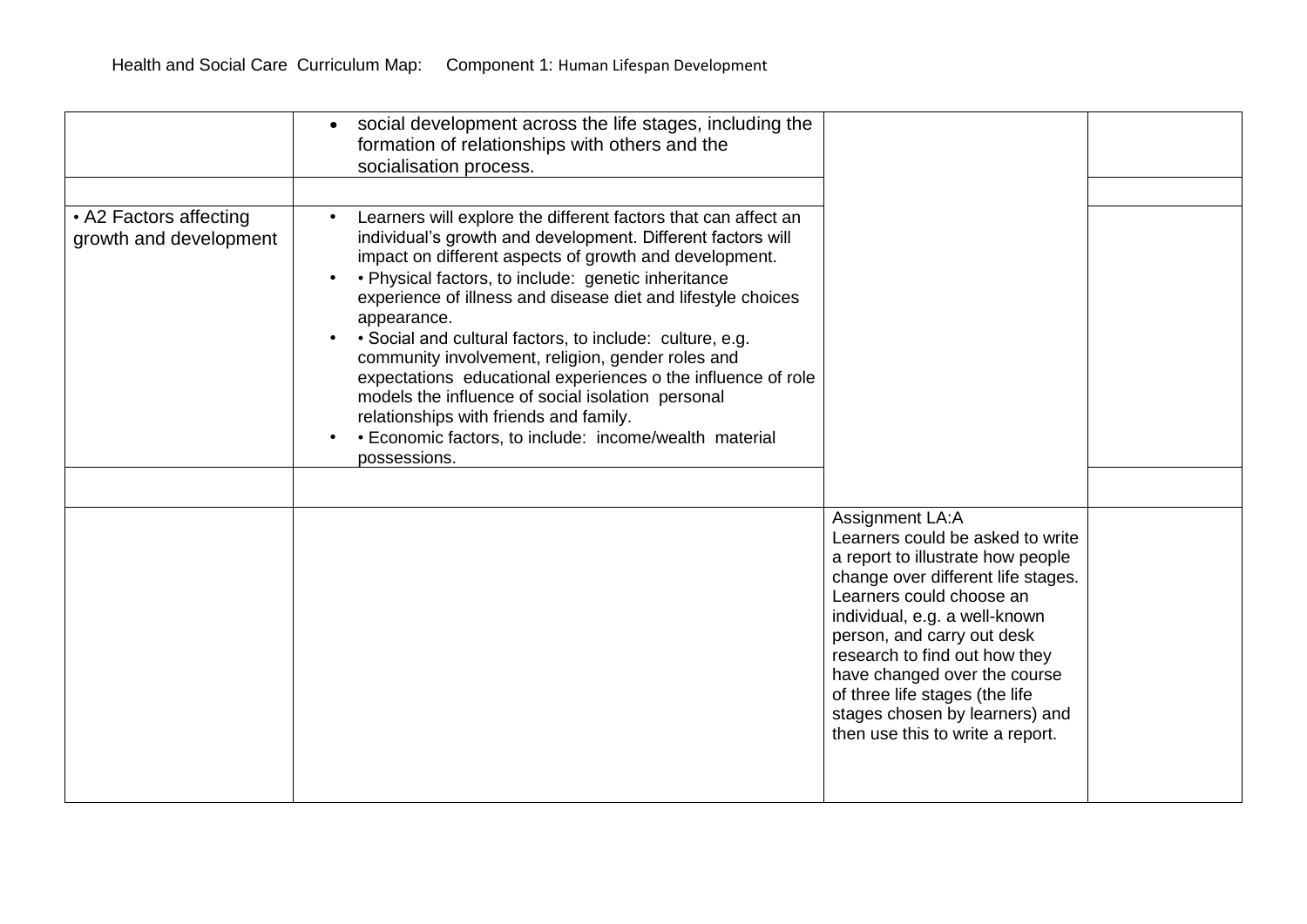|                                                  | social development across the life stages, including the<br>formation of relationships with others and the<br>socialisation process.                                                                                                                                                                                                                                                                                                                                                                                                                                                                                                                                                    |                                                                                                                                                                                                                                                                                                                                                                                 |  |
|--------------------------------------------------|-----------------------------------------------------------------------------------------------------------------------------------------------------------------------------------------------------------------------------------------------------------------------------------------------------------------------------------------------------------------------------------------------------------------------------------------------------------------------------------------------------------------------------------------------------------------------------------------------------------------------------------------------------------------------------------------|---------------------------------------------------------------------------------------------------------------------------------------------------------------------------------------------------------------------------------------------------------------------------------------------------------------------------------------------------------------------------------|--|
| • A2 Factors affecting<br>growth and development | Learners will explore the different factors that can affect an<br>individual's growth and development. Different factors will<br>impact on different aspects of growth and development.<br>• Physical factors, to include: genetic inheritance<br>experience of illness and disease diet and lifestyle choices<br>appearance.<br>• Social and cultural factors, to include: culture, e.g.<br>community involvement, religion, gender roles and<br>expectations educational experiences o the influence of role<br>models the influence of social isolation personal<br>relationships with friends and family.<br>• Economic factors, to include: income/wealth material<br>possessions. | Assignment LA:A                                                                                                                                                                                                                                                                                                                                                                 |  |
|                                                  |                                                                                                                                                                                                                                                                                                                                                                                                                                                                                                                                                                                                                                                                                         | Learners could be asked to write<br>a report to illustrate how people<br>change over different life stages.<br>Learners could choose an<br>individual, e.g. a well-known<br>person, and carry out desk<br>research to find out how they<br>have changed over the course<br>of three life stages (the life<br>stages chosen by learners) and<br>then use this to write a report. |  |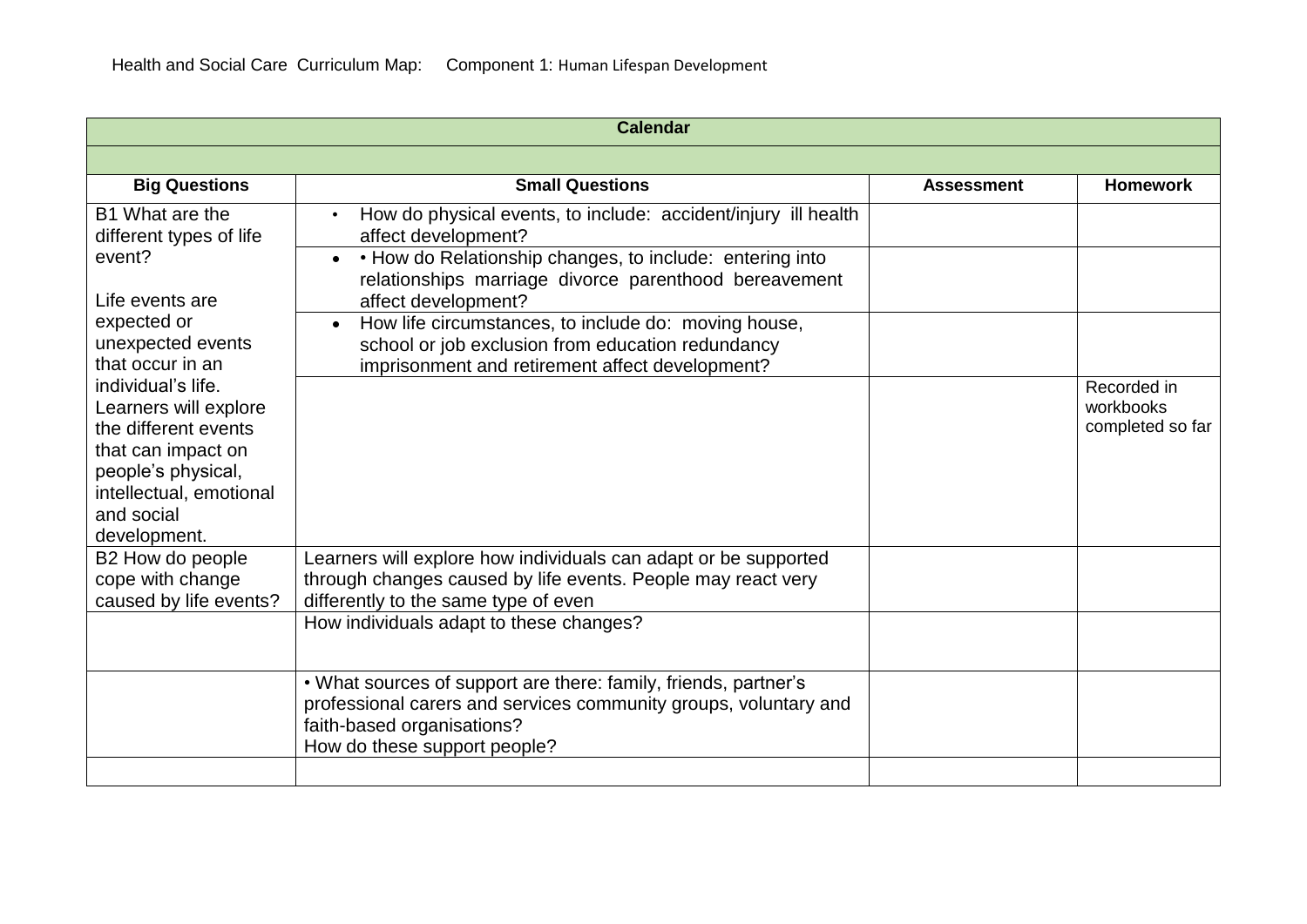| <b>Calendar</b>                                                                                                                                                                                                                                    |                                                                                                                                                                                                                                                                                                                                                                                                                             |                   |                                              |
|----------------------------------------------------------------------------------------------------------------------------------------------------------------------------------------------------------------------------------------------------|-----------------------------------------------------------------------------------------------------------------------------------------------------------------------------------------------------------------------------------------------------------------------------------------------------------------------------------------------------------------------------------------------------------------------------|-------------------|----------------------------------------------|
|                                                                                                                                                                                                                                                    |                                                                                                                                                                                                                                                                                                                                                                                                                             |                   |                                              |
| <b>Big Questions</b>                                                                                                                                                                                                                               | <b>Small Questions</b>                                                                                                                                                                                                                                                                                                                                                                                                      | <b>Assessment</b> | <b>Homework</b>                              |
| B1 What are the<br>different types of life<br>event?<br>Life events are<br>expected or<br>unexpected events<br>that occur in an<br>individual's life.<br>Learners will explore<br>the different events<br>that can impact on<br>people's physical, | How do physical events, to include: accident/injury ill health<br>affect development?<br>• How do Relationship changes, to include: entering into<br>$\bullet$<br>relationships marriage divorce parenthood bereavement<br>affect development?<br>How life circumstances, to include do: moving house,<br>$\bullet$<br>school or job exclusion from education redundancy<br>imprisonment and retirement affect development? |                   | Recorded in<br>workbooks<br>completed so far |
| intellectual, emotional<br>and social<br>development.                                                                                                                                                                                              |                                                                                                                                                                                                                                                                                                                                                                                                                             |                   |                                              |
| B2 How do people<br>cope with change<br>caused by life events?                                                                                                                                                                                     | Learners will explore how individuals can adapt or be supported<br>through changes caused by life events. People may react very<br>differently to the same type of even                                                                                                                                                                                                                                                     |                   |                                              |
|                                                                                                                                                                                                                                                    | How individuals adapt to these changes?                                                                                                                                                                                                                                                                                                                                                                                     |                   |                                              |
|                                                                                                                                                                                                                                                    | . What sources of support are there: family, friends, partner's<br>professional carers and services community groups, voluntary and<br>faith-based organisations?<br>How do these support people?                                                                                                                                                                                                                           |                   |                                              |
|                                                                                                                                                                                                                                                    |                                                                                                                                                                                                                                                                                                                                                                                                                             |                   |                                              |